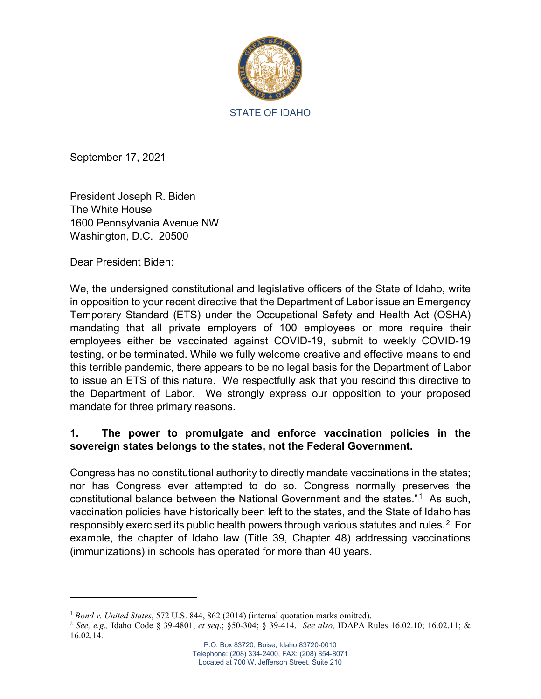

September 17, 2021

President Joseph R. Biden The White House 1600 Pennsylvania Avenue NW Washington, D.C. 20500

Dear President Biden:

l

We, the undersigned constitutional and legislative officers of the State of Idaho, write in opposition to your recent directive that the Department of Labor issue an Emergency Temporary Standard (ETS) under the Occupational Safety and Health Act (OSHA) mandating that all private employers of 100 employees or more require their employees either be vaccinated against COVID-19, submit to weekly COVID-19 testing, or be terminated. While we fully welcome creative and effective means to end this terrible pandemic, there appears to be no legal basis for the Department of Labor to issue an ETS of this nature. We respectfully ask that you rescind this directive to the Department of Labor. We strongly express our opposition to your proposed mandate for three primary reasons.

## **1. The power to promulgate and enforce vaccination policies in the sovereign states belongs to the states, not the Federal Government.**

Congress has no constitutional authority to directly mandate vaccinations in the states; nor has Congress ever attempted to do so. Congress normally preserves the constitutional balance between the National Government and the states."1 As such, vaccination policies have historically been left to the states, and the State of Idaho has responsibly exercised its public health powers through various statutes and rules. $^2\,$  For example, the chapter of Idaho law (Title 39, Chapter 48) addressing vaccinations (immunizations) in schools has operated for more than 40 years.

<sup>1</sup> *Bond v. United States*, 572 U.S. 844, 862 (2014) (internal quotation marks omitted).

<sup>2</sup> *See, e.g.,* Idaho Code § 39-4801, *et seq*.; §50-304; § 39-414. *See also,* IDAPA Rules 16.02.10; 16.02.11; & 16.02.14.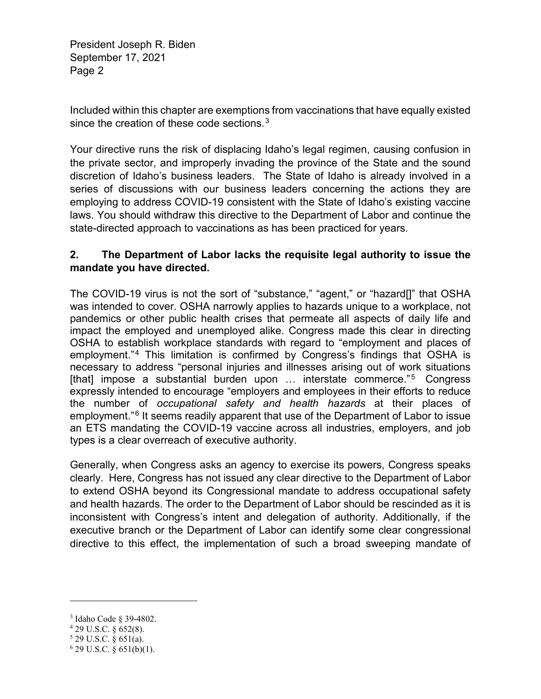President Joseph R. Biden September 17, 2021 Page 2

Included within this chapter are exemptions from vaccinations that have equally existed since the creation of these code sections. $3$ 

Your directive runs the risk of displacing Idaho's legal regimen, causing confusion in the private sector, and improperly invading the province of the State and the sound discretion of Idaho's business leaders. The State of Idaho is already involved in a series of discussions with our business leaders concerning the actions they are employing to address COVID-19 consistent with the State of Idaho's existing vaccine laws. You should withdraw this directive to the Department of Labor and continue the state-directed approach to vaccinations as has been practiced for years.

## **2. The Department of Labor lacks the requisite legal authority to issue the mandate you have directed.**

The COVID-19 virus is not the sort of "substance," "agent," or "hazard[]" that OSHA was intended to cover. OSHA narrowly applies to hazards unique to a workplace, not pandemics or other public health crises that permeate all aspects of daily life and impact the employed and unemployed alike. Congress made this clear in directing OSHA to establish workplace standards with regard to "employment and places of employment."<sup>4</sup> This limitation is confirmed by Congress's findings that OSHA is necessary to address "personal injuries and illnesses arising out of work situations [that] impose a substantial burden upon ... interstate commerce."<sup>5</sup> Congress expressly intended to encourage "employers and employees in their efforts to reduce the number of *occupational safety and health hazards* at their places of employment."<sup>6</sup> It seems readily apparent that use of the Department of Labor to issue an ETS mandating the COVID-19 vaccine across all industries, employers, and job types is a clear overreach of executive authority.

Generally, when Congress asks an agency to exercise its powers, Congress speaks clearly. Here, Congress has not issued any clear directive to the Department of Labor to extend OSHA beyond its Congressional mandate to address occupational safety and health hazards. The order to the Department of Labor should be rescinded as it is inconsistent with Congress's intent and delegation of authority. Additionally, if the executive branch or the Department of Labor can identify some clear congressional directive to this effect, the implementation of such a broad sweeping mandate of

l

<sup>3</sup> Idaho Code § 39-4802. 4 29 U.S.C. § 652(8).

<sup>5</sup> 29 U.S.C. § 651(a).

<sup>6</sup> 29 U.S.C. § 651(b)(1).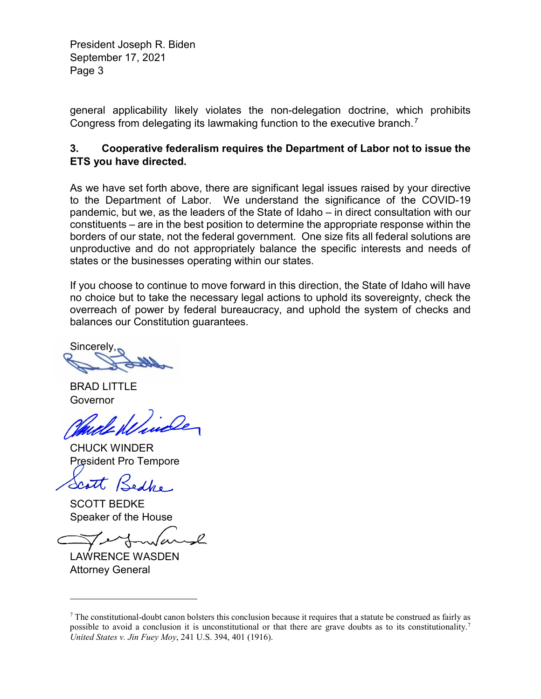President Joseph R. Biden September 17, 2021 Page 3

general applicability likely violates the non-delegation doctrine, which prohibits Congress from delegating its lawmaking function to the executive branch.<sup>7</sup>

## **3. Cooperative federalism requires the Department of Labor not to issue the ETS you have directed.**

As we have set forth above, there are significant legal issues raised by your directive to the Department of Labor. We understand the significance of the COVID-19 pandemic, but we, as the leaders of the State of Idaho – in direct consultation with our constituents – are in the best position to determine the appropriate response within the borders of our state, not the federal government. One size fits all federal solutions are unproductive and do not appropriately balance the specific interests and needs of states or the businesses operating within our states.

If you choose to continue to move forward in this direction, the State of Idaho will have no choice but to take the necessary legal actions to uphold its sovereignty, check the overreach of power by federal bureaucracy, and uphold the system of checks and balances our Constitution guarantees.

Sincerely,

BRAD LITTLE Governor

CHUCK WINDER President Pro Tempore

Scott

SCOTT BEDKE Speaker of the House

LAWRENCE WASDEN Attorney General

l

 $<sup>7</sup>$  The constitutional-doubt canon bolsters this conclusion because it requires that a statute be construed as fairly as</sup> possible to avoid a conclusion it is unconstitutional or that there are grave doubts as to its constitutionality.7 *United States v. Jin Fuey Moy*, 241 U.S. 394, 401 (1916).